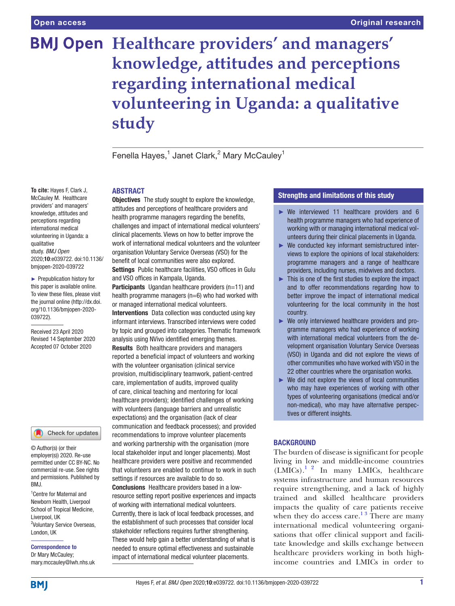# **BMJ Open** Healthcare providers' and managers' **knowledge, attitudes and perceptions regarding international medical volunteering in Uganda: a qualitative study**

Fenella Hayes, $1$  Janet Clark, $^2$  Mary McCauley $^1$ 

# **ABSTRACT**

**Objectives** The study sought to explore the knowledge. attitudes and perceptions of healthcare providers and health programme managers regarding the benefits, challenges and impact of international medical volunteers' clinical placements. Views on how to better improve the work of international medical volunteers and the volunteer organisation Voluntary Service Overseas (VSO) for the benefit of local communities were also explored. Settings Public healthcare facilities, VSO offices in Gulu and VSO offices in Kampala, Uganda.

Participants Ugandan healthcare providers (n=11) and health programme managers (n=6) who had worked with or managed international medical volunteers.

Interventions Data collection was conducted using key informant interviews. Transcribed interviews were coded by topic and grouped into categories. Thematic framework analysis using NVivo identified emerging themes. Results Both healthcare providers and managers reported a beneficial impact of volunteers and working with the volunteer organisation (clinical service provision, multidisciplinary teamwork, patient-centred care, implementation of audits, improved quality of care, clinical teaching and mentoring for local healthcare providers); identified challenges of working with volunteers (language barriers and unrealistic expectations) and the organisation (lack of clear communication and feedback processes); and provided recommendations to improve volunteer placements and working partnership with the organisation (more local stakeholder input and longer placements). Most healthcare providers were positive and recommended that volunteers are enabled to continue to work in such

settings if resources are available to do so. Conclusions Healthcare providers based in a lowresource setting report positive experiences and impacts of working with international medical volunteers. Currently, there is lack of local feedback processes, and the establishment of such processes that consider local stakeholder reflections requires further strengthening. These would help gain a better understanding of what is needed to ensure optimal effectiveness and sustainable impact of international medical volunteer placements.

# Strengths and limitations of this study

- ► We interviewed 11 healthcare providers and 6 health programme managers who had experience of working with or managing international medical volunteers during their clinical placements in Uganda.
- ► We conducted key informant semistructured interviews to explore the opinions of local stakeholders: programme managers and a range of healthcare providers, including nurses, midwives and doctors.
- ► This is one of the first studies to explore the impact and to offer recommendations regarding how to better improve the impact of international medical volunteering for the local community in the host country.
- ► We only interviewed healthcare providers and programme managers who had experience of working with international medical volunteers from the development organisation Voluntary Service Overseas (VSO) in Uganda and did not explore the views of other communities who have worked with VSO in the 22 other countries where the organisation works.
- $\triangleright$  We did not explore the views of local communities who may have experiences of working with other types of volunteering organisations (medical and/or non-medical), who may have alternative perspectives or different insights.

# **BACKGROUND**

The burden of disease is significant for people living in low- and middle-income countries  $(LMICs).$ <sup>[1 2](#page-7-0)</sup> In many LMICs, healthcare systems infrastructure and human resources require strengthening, and a lack of highly trained and skilled healthcare providers impacts the quality of care patients receive when they do access care.<sup>13</sup> There are many international medical volunteering organisations that offer clinical support and facilitate knowledge and skills exchange between healthcare providers working in both highincome countries and LMICs in order to

**To cite:** Hayes F, Clark J, McCauley M. Healthcare providers' and managers' knowledge, attitudes and perceptions regarding international medical volunteering in Uganda: a qualitative study. *BMJ Open* 2020;10:e039722. doi:10.1136/ bmjopen-2020-039722

► Prepublication history for this paper is available online. To view these files, please visit the journal online (http://dx.doi. org/10.1136/bmjopen-2020- 039722).

Received 23 April 2020 Revised 14 September 2020 Accepted 07 October 2020

Check for updates

© Author(s) (or their employer(s)) 2020. Re-use permitted under CC BY-NC. No commercial re-use. See rights and permissions. Published by BMJ.

1 Centre for Maternal and Newborn Health, Liverpool School of Tropical Medicine, Liverpool, UK 2 Voluntary Service Overseas, London, UK

Correspondence to Dr Mary McCauley; mary.mccauley@lwh.nhs.uk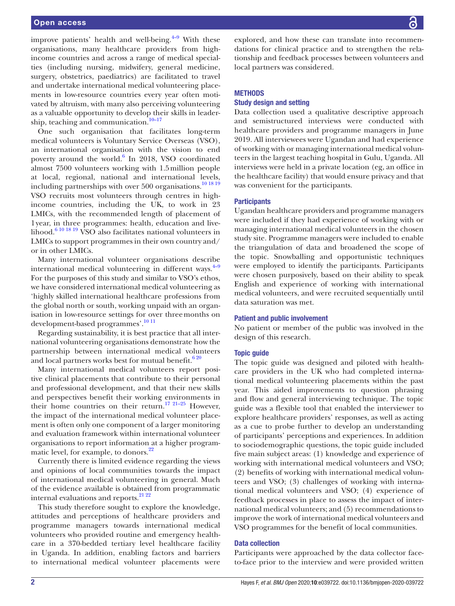improve patients' health and well-being. $4-9$  With these organisations, many healthcare providers from highincome countries and across a range of medical specialties (including nursing, midwifery, general medicine, surgery, obstetrics, paediatrics) are facilitated to travel and undertake international medical volunteering placements in low-resource countries every year often motivated by altruism, with many also perceiving volunteering as a valuable opportunity to develop their skills in leadership, teaching and communication. $10-17$ 

One such organisation that facilitates long-term medical volunteers is Voluntary Service Overseas (VSO), an international organisation with the vision to end poverty around the world.<sup>[6](#page-7-3)</sup> In 2018, VSO coordinated almost 7500 volunteers working with 1.5million people at local, regional, national and international levels, including partnerships with over 500 organisations.<sup>[10 18 19](#page-7-2)</sup> VSO recruits most volunteers through centres in highincome countries, including the UK, to work in 23 LMICs, with the recommended length of placement of 1year, in three programmes: health, education and livelihood.[6 10 18 19](#page-7-3) VSO also facilitates national volunteers in LMICs to support programmes in their own country and/ or in other LMICs.

Many international volunteer organisations describe international medical volunteering in different ways. $4-9$ For the purposes of this study and similar to VSO's ethos, we have considered international medical volunteering as 'highly skilled international healthcare professions from the global north or south, working unpaid with an organisation in low-resource settings for over threemonths on development-based programmes'[.10 11](#page-7-2)

Regarding sustainability, it is best practice that all international volunteering organisations demonstrate how the partnership between international medical volunteers and local partners works best for mutual benefit.<sup>620</sup>

Many international medical volunteers report positive clinical placements that contribute to their personal and professional development, and that their new skills and perspectives benefit their working environments in their home countries on their return.<sup>[17 21–25](#page-7-4)</sup> However. the impact of the international medical volunteer placement is often only one component of a larger monitoring and evaluation framework within international volunteer organisations to report information at a higher program-matic level, for example, to donors.<sup>[22](#page-8-0)</sup>

Currently there is limited evidence regarding the views and opinions of local communities towards the impact of international medical volunteering in general. Much of the evidence available is obtained from programmatic internal evaluations and reports.<sup>21</sup> <sup>22</sup>

This study therefore sought to explore the knowledge, attitudes and perceptions of healthcare providers and programme managers towards international medical volunteers who provided routine and emergency healthcare in a 370-bedded tertiary level healthcare facility in Uganda. In addition, enabling factors and barriers to international medical volunteer placements were

explored, and how these can translate into recommendations for clinical practice and to strengthen the relationship and feedback processes between volunteers and local partners was considered.

# **METHODS**

# Study design and setting

Data collection used a qualitative descriptive approach and semistructured interviews were conducted with healthcare providers and programme managers in June 2019. All interviewees were Ugandan and had experience of working with or managing international medical volunteers in the largest teaching hospital in Gulu, Uganda. All interviews were held in a private location (eg, an office in the healthcare facility) that would ensure privacy and that was convenient for the participants.

# **Participants**

Ugandan healthcare providers and programme managers were included if they had experience of working with or managing international medical volunteers in the chosen study site. Programme managers were included to enable the triangulation of data and broadened the scope of the topic. Snowballing and opportunistic techniques were employed to identify the participants. Participants were chosen purposively, based on their ability to speak English and experience of working with international medical volunteers, and were recruited sequentially until data saturation was met.

#### Patient and public involvement

No patient or member of the public was involved in the design of this research.

#### Topic guide

The topic guide was designed and piloted with healthcare providers in the UK who had completed international medical volunteering placements within the past year. This aided improvements to question phrasing and flow and general interviewing technique. The topic guide was a flexible tool that enabled the interviewer to explore healthcare providers' responses, as well as acting as a cue to probe further to develop an understanding of participants' perceptions and experiences. In addition to sociodemographic questions, the topic guide included five main subject areas: (1) knowledge and experience of working with international medical volunteers and VSO; (2) benefits of working with international medical volunteers and VSO; (3) challenges of working with international medical volunteers and VSO; (4) experience of feedback processes in place to assess the impact of international medical volunteers; and (5) recommendations to improve the work of international medical volunteers and VSO programmes for the benefit of local communities.

#### Data collection

Participants were approached by the data collector faceto-face prior to the interview and were provided written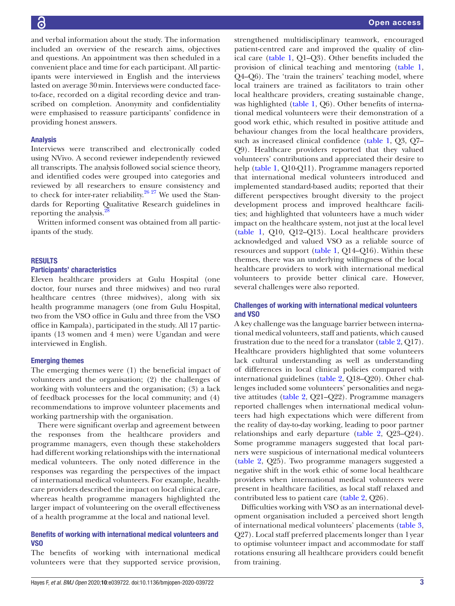and verbal information about the study. The information included an overview of the research aims, objectives and questions. An appointment was then scheduled in a convenient place and time for each participant. All participants were interviewed in English and the interviews lasted on average 30min. Interviews were conducted faceto-face, recorded on a digital recording device and transcribed on completion. Anonymity and confidentiality were emphasised to reassure participants' confidence in providing honest answers.

## Analysis

Interviews were transcribed and electronically coded using NVivo. A second reviewer independently reviewed all transcripts. The analysis followed social science theory, and identified codes were grouped into categories and reviewed by all researchers to ensure consistency and to check for inter-rater reliability.<sup>26 27</sup> We used the Standards for Reporting Qualitative Research guidelines in reporting the analysis.<sup>[28](#page-8-3)</sup>

Written informed consent was obtained from all participants of the study.

## RESULTS

## Participants' characteristics

Eleven healthcare providers at Gulu Hospital (one doctor, four nurses and three midwives) and two rural healthcare centres (three midwives), along with six health programme managers (one from Gulu Hospital, two from the VSO office in Gulu and three from the VSO office in Kampala), participated in the study. All 17 participants (13 women and 4 men) were Ugandan and were interviewed in English.

#### Emerging themes

The emerging themes were (1) the beneficial impact of volunteers and the organisation; (2) the challenges of working with volunteers and the organisation; (3) a lack of feedback processes for the local community; and (4) recommendations to improve volunteer placements and working partnership with the organisation.

There were significant overlap and agreement between the responses from the healthcare providers and programme managers, even though these stakeholders had different working relationships with the international medical volunteers. The only noted difference in the responses was regarding the perspectives of the impact of international medical volunteers. For example, healthcare providers described the impact on local clinical care, whereas health programme managers highlighted the larger impact of volunteering on the overall effectiveness of a health programme at the local and national level.

# Benefits of working with international medical volunteers and VSO

The benefits of working with international medical volunteers were that they supported service provision,

strengthened multidisciplinary teamwork, encouraged patient-centred care and improved the quality of clinical care ([table](#page-3-0) 1, Q1–Q3). Other benefits included the provision of clinical teaching and mentoring ([table](#page-3-0) 1, Q4–Q6). The 'train the trainers' teaching model, where local trainers are trained as facilitators to train other local healthcare providers, creating sustainable change, was highlighted [\(table](#page-3-0) 1, Q6). Other benefits of international medical volunteers were their demonstration of a good work ethic, which resulted in positive attitude and behaviour changes from the local healthcare providers, such as increased clinical confidence [\(table](#page-3-0) 1, Q3, Q7– Q9). Healthcare providers reported that they valued volunteers' contributions and appreciated their desire to help ([table](#page-3-0) 1, Q10-Q11). Programme managers reported that international medical volunteers introduced and implemented standard-based audits; reported that their different perspectives brought diversity to the project development process and improved healthcare facilities; and highlighted that volunteers have a much wider impact on the healthcare system, not just at the local level [\(table](#page-3-0) 1, Q10, Q12–Q13). Local healthcare providers acknowledged and valued VSO as a reliable source of resources and support [\(table](#page-3-0) 1, Q14–Q16). Within these themes, there was an underlying willingness of the local healthcare providers to work with international medical volunteers to provide better clinical care. However, several challenges were also reported.

# Challenges of working with international medical volunteers and VSO

A key challenge was the language barrier between international medical volunteers, staff and patients, which caused frustration due to the need for a translator ([table](#page-4-0) 2, Q17). Healthcare providers highlighted that some volunteers lack cultural understanding as well as understanding of differences in local clinical policies compared with international guidelines ([table](#page-4-0) 2, Q18–Q20). Other challenges included some volunteers' personalities and negative attitudes [\(table](#page-4-0) 2, Q21–Q22). Programme managers reported challenges when international medical volunteers had high expectations which were different from the reality of day-to-day working, leading to poor partner relationships and early departure [\(table](#page-4-0) 2, Q23–Q24). Some programme managers suggested that local partners were suspicious of international medical volunteers [\(table](#page-4-0) 2, Q25). Two programme managers suggested a negative shift in the work ethic of some local healthcare providers when international medical volunteers were present in healthcare facilities, as local staff relaxed and contributed less to patient care ([table](#page-4-0) 2, Q26).

Difficulties working with VSO as an international development organisation included a perceived short length of international medical volunteers' placements ([table](#page-5-0) 3, Q27). Local staff preferred placements longer than 1year to optimise volunteer impact and accommodate for staff rotations ensuring all healthcare providers could benefit from training.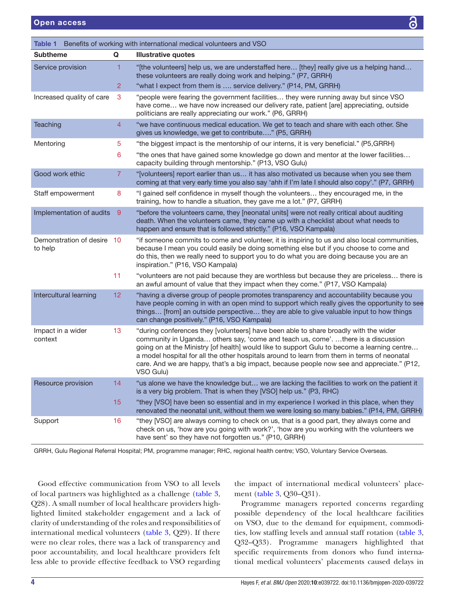<span id="page-3-0"></span>

| Table 1 Benefits of working with international medical volunteers and VSO |                |                                                                                                                                                                                                                                                                                                                                                                                                                                                                                   |  |  |  |  |
|---------------------------------------------------------------------------|----------------|-----------------------------------------------------------------------------------------------------------------------------------------------------------------------------------------------------------------------------------------------------------------------------------------------------------------------------------------------------------------------------------------------------------------------------------------------------------------------------------|--|--|--|--|
| <b>Subtheme</b>                                                           | Q              | <b>Illustrative quotes</b>                                                                                                                                                                                                                                                                                                                                                                                                                                                        |  |  |  |  |
| Service provision                                                         | 1              | "[the volunteers] help us, we are understaffed here [they] really give us a helping hand<br>these volunteers are really doing work and helping." (P7, GRRH)                                                                                                                                                                                                                                                                                                                       |  |  |  |  |
|                                                                           | 2              | "what I expect from them is  service delivery." (P14, PM, GRRH)                                                                                                                                                                                                                                                                                                                                                                                                                   |  |  |  |  |
| Increased quality of care                                                 | 3              | "people were fearing the government facilities they were running away but since VSO<br>have come we have now increased our delivery rate, patient [are] appreciating, outside<br>politicians are really appreciating our work." (P6, GRRH)                                                                                                                                                                                                                                        |  |  |  |  |
| Teaching                                                                  | $\overline{4}$ | "we have continuous medical education. We get to teach and share with each other. She<br>gives us knowledge, we get to contribute" (P5, GRRH)                                                                                                                                                                                                                                                                                                                                     |  |  |  |  |
| Mentoring                                                                 | 5              | "the biggest impact is the mentorship of our interns, it is very beneficial." (P5,GRRH)                                                                                                                                                                                                                                                                                                                                                                                           |  |  |  |  |
|                                                                           | 6              | "the ones that have gained some knowledge go down and mentor at the lower facilities<br>capacity building through mentorship." (P13, VSO Gulu)                                                                                                                                                                                                                                                                                                                                    |  |  |  |  |
| Good work ethic                                                           | 7              | "[volunteers] report earlier than us it has also motivated us because when you see them<br>coming at that very early time you also say 'ahh if I'm late I should also copy'." (P7, GRRH)                                                                                                                                                                                                                                                                                          |  |  |  |  |
| Staff empowerment                                                         | 8              | "I gained self confidence in myself though the volunteers they encouraged me, in the<br>training, how to handle a situation, they gave me a lot." (P7, GRRH)                                                                                                                                                                                                                                                                                                                      |  |  |  |  |
| Implementation of audits                                                  | 9              | "before the volunteers came, they [neonatal units] were not really critical about auditing<br>death. When the volunteers came, they came up with a checklist about what needs to<br>happen and ensure that is followed strictly." (P16, VSO Kampala)                                                                                                                                                                                                                              |  |  |  |  |
| Demonstration of desire 10<br>to help                                     |                | "if someone commits to come and volunteer, it is inspiring to us and also local communities,<br>because I mean you could easily be doing something else but if you choose to come and<br>do this, then we really need to support you to do what you are doing because you are an<br>inspiration." (P16, VSO Kampala)                                                                                                                                                              |  |  |  |  |
|                                                                           | 11             | "volunteers are not paid because they are worthless but because they are priceless there is<br>an awful amount of value that they impact when they come." (P17, VSO Kampala)                                                                                                                                                                                                                                                                                                      |  |  |  |  |
| Intercultural learning                                                    | 12             | "having a diverse group of people promotes transparency and accountability because you<br>have people coming in with an open mind to support which really gives the opportunity to see<br>things [from] an outside perspective they are able to give valuable input to how things<br>can change positively." (P16, VSO Kampala)                                                                                                                                                   |  |  |  |  |
| Impact in a wider<br>context                                              | 13             | "during conferences they [volunteers] have been able to share broadly with the wider<br>community in Uganda others say, 'come and teach us, come'. there is a discussion<br>going on at the Ministry [of health] would like to support Gulu to become a learning centre<br>a model hospital for all the other hospitals around to learn from them in terms of neonatal<br>care. And we are happy, that's a big impact, because people now see and appreciate." (P12,<br>VSO Gulu) |  |  |  |  |
| Resource provision                                                        | 14             | "us alone we have the knowledge but we are lacking the facilities to work on the patient it<br>is a very big problem. That is when they [VSO] help us." (P3, RHC)                                                                                                                                                                                                                                                                                                                 |  |  |  |  |
|                                                                           | 15             | "they [VSO] have been so essential and in my experience I worked in this place, when they<br>renovated the neonatal unit, without them we were losing so many babies." (P14, PM, GRRH)                                                                                                                                                                                                                                                                                            |  |  |  |  |
| Support                                                                   | 16             | "they [VSO] are always coming to check on us, that is a good part, they always come and<br>check on us, 'how are you going with work?', 'how are you working with the volunteers we<br>have sent' so they have not forgotten us." (P10, GRRH)                                                                                                                                                                                                                                     |  |  |  |  |

GRRH, Gulu Regional Referral Hospital; PM, programme manager; RHC, regional health centre; VSO, Voluntary Service Overseas.

Good effective communication from VSO to all levels of local partners was highlighted as a challenge [\(table](#page-5-0) 3, Q28). A small number of local healthcare providers highlighted limited stakeholder engagement and a lack of clarity of understanding of the roles and responsibilities of international medical volunteers [\(table](#page-5-0) 3, Q29). If there were no clear roles, there was a lack of transparency and poor accountability, and local healthcare providers felt less able to provide effective feedback to VSO regarding

the impact of international medical volunteers' placement ([table](#page-5-0) 3, Q30–Q31).

Programme managers reported concerns regarding possible dependency of the local healthcare facilities on VSO, due to the demand for equipment, commodities, low staffing levels and annual staff rotation ([table](#page-5-0) 3, Q32–Q33). Programme managers highlighted that specific requirements from donors who fund international medical volunteers' placements caused delays in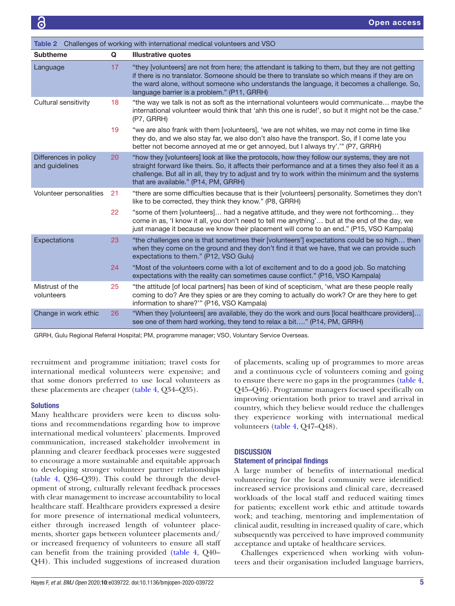<span id="page-4-0"></span>

| Challenges of working with international medical volunteers and VSO<br>Table 2 |    |                                                                                                                                                                                                                                                                                                                                                  |  |  |  |
|--------------------------------------------------------------------------------|----|--------------------------------------------------------------------------------------------------------------------------------------------------------------------------------------------------------------------------------------------------------------------------------------------------------------------------------------------------|--|--|--|
| <b>Subtheme</b>                                                                | Q  | <b>Illustrative quotes</b>                                                                                                                                                                                                                                                                                                                       |  |  |  |
| Language                                                                       | 17 | "they [volunteers] are not from here; the attendant is talking to them, but they are not getting<br>if there is no translator. Someone should be there to translate so which means if they are on<br>the ward alone, without someone who understands the language, it becomes a challenge. So,<br>language barrier is a problem." (P11, GRRH)    |  |  |  |
| Cultural sensitivity                                                           | 18 | "the way we talk is not as soft as the international volunteers would communicate maybe the<br>international volunteer would think that 'ahh this one is rude!', so but it might not be the case."<br>(P7, GRRH)                                                                                                                                 |  |  |  |
|                                                                                | 19 | "we are also frank with them [volunteers], 'we are not whites, we may not come in time like<br>they do, and we also stay far, we also don't also have the transport. So, if I come late you<br>better not become annoyed at me or get annoyed, but I always try'." (P7, GRRH)                                                                    |  |  |  |
| Differences in policy<br>and guidelines                                        | 20 | "how they [volunteers] look at like the protocols, how they follow our systems, they are not<br>straight forward like theirs. So, it affects their performance and at a times they also feel it as a<br>challenge. But all in all, they try to adjust and try to work within the minimum and the systems<br>that are available." (P14, PM, GRRH) |  |  |  |
| Volunteer personalities                                                        | 21 | "there are some difficulties because that is their [volunteers] personality. Sometimes they don't<br>like to be corrected, they think they know." (P8, GRRH)                                                                                                                                                                                     |  |  |  |
|                                                                                | 22 | "some of them [volunteers] had a negative attitude, and they were not forthcoming they<br>come in as, 'I know it all, you don't need to tell me anything' but at the end of the day, we<br>just manage it because we know their placement will come to an end." (P15, VSO Kampala)                                                               |  |  |  |
| Expectations                                                                   | 23 | "the challenges one is that sometimes their [volunteers'] expectations could be so high then<br>when they come on the ground and they don't find it that we have, that we can provide such<br>expectations to them." (P12, VSO Gulu)                                                                                                             |  |  |  |
|                                                                                | 24 | "Most of the volunteers come with a lot of excitement and to do a good job. So matching<br>expectations with the reality can sometimes cause conflict." (P16, VSO Kampala)                                                                                                                                                                       |  |  |  |
| Mistrust of the<br>volunteers                                                  | 25 | "the attitude [of local partners] has been of kind of scepticism, 'what are these people really<br>coming to do? Are they spies or are they coming to actually do work? Or are they here to get<br>information to share?"" (P16, VSO Kampala)                                                                                                    |  |  |  |
| Change in work ethic                                                           | 26 | "When they [volunteers] are available, they do the work and ours [local healthcare providers]<br>see one of them hard working, they tend to relax a bit" (P14, PM, GRRH)                                                                                                                                                                         |  |  |  |

GRRH, Gulu Regional Referral Hospital; PM, programme manager; VSO, Voluntary Service Overseas.

recruitment and programme initiation; travel costs for international medical volunteers were expensive; and that some donors preferred to use local volunteers as these placements are cheaper [\(table](#page-6-0) 4, Q34–Q35).

#### Solutions

Many healthcare providers were keen to discuss solutions and recommendations regarding how to improve international medical volunteers' placements. Improved communication, increased stakeholder involvement in planning and clearer feedback processes were suggested to encourage a more sustainable and equitable approach to developing stronger volunteer partner relationships ([table](#page-6-0) 4, Q36–Q39). This could be through the development of strong, culturally relevant feedback processes with clear management to increase accountability to local healthcare staff. Healthcare providers expressed a desire for more presence of international medical volunteers, either through increased length of volunteer placements, shorter gaps between volunteer placements and/ or increased frequency of volunteers to ensure all staff can benefit from the training provided ([table](#page-6-0) 4, Q40– Q44). This included suggestions of increased duration

of placements, scaling up of programmes to more areas and a continuous cycle of volunteers coming and going to ensure there were no gaps in the programmes [\(table](#page-6-0) 4, Q45–Q46). Programme managers focused specifically on improving orientation both prior to travel and arrival in country, which they believe would reduce the challenges they experience working with international medical volunteers [\(table](#page-6-0) 4, Q47–Q48).

# **DISCUSSION**

#### Statement of principal findings

A large number of benefits of international medical volunteering for the local community were identified: increased service provisions and clinical care, decreased workloads of the local staff and reduced waiting times for patients; excellent work ethic and attitude towards work; and teaching, mentoring and implementation of clinical audit, resulting in increased quality of care, which subsequently was perceived to have improved community acceptance and uptake of healthcare services.

Challenges experienced when working with volunteers and their organisation included language barriers,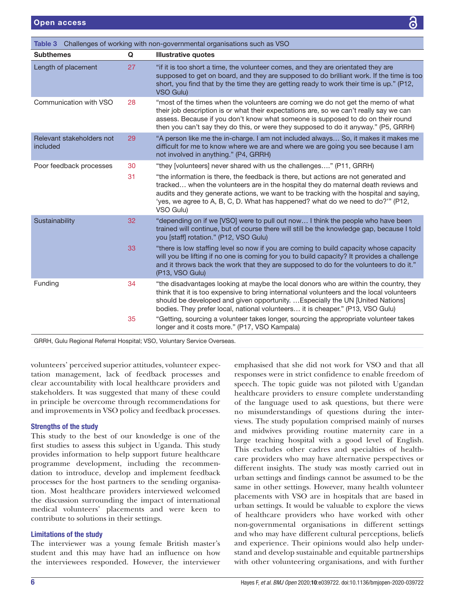<span id="page-5-0"></span>

| Table 3 Challenges of working with non-governmental organisations such as VSO |    |                                                                                                                                                                                                                                                                                                                                                                    |  |  |  |  |
|-------------------------------------------------------------------------------|----|--------------------------------------------------------------------------------------------------------------------------------------------------------------------------------------------------------------------------------------------------------------------------------------------------------------------------------------------------------------------|--|--|--|--|
| <b>Subthemes</b>                                                              | Q  | <b>Illustrative quotes</b>                                                                                                                                                                                                                                                                                                                                         |  |  |  |  |
| Length of placement                                                           | 27 | "if it is too short a time, the volunteer comes, and they are orientated they are<br>supposed to get on board, and they are supposed to do brilliant work. If the time is too<br>short, you find that by the time they are getting ready to work their time is up." (P12,<br>VSO Gulu)                                                                             |  |  |  |  |
| Communication with VSO                                                        | 28 | "most of the times when the volunteers are coming we do not get the memo of what<br>their job description is or what their expectations are, so we can't really say we can<br>assess. Because if you don't know what someone is supposed to do on their round<br>then you can't say they do this, or were they supposed to do it anyway." (P5, GRRH)               |  |  |  |  |
| Relevant stakeholders not<br>included                                         | 29 | "A person like me the in-charge. I am not included always So, it makes it makes me<br>difficult for me to know where we are and where we are going you see because I am<br>not involved in anything." (P4, GRRH)                                                                                                                                                   |  |  |  |  |
| Poor feedback processes                                                       | 30 | "they [volunteers] never shared with us the challenges" (P11, GRRH)                                                                                                                                                                                                                                                                                                |  |  |  |  |
|                                                                               | 31 | "the information is there, the feedback is there, but actions are not generated and<br>tracked when the volunteers are in the hospital they do maternal death reviews and<br>audits and they generate actions, we want to be tracking with the hospital and saying,<br>'yes, we agree to A, B, C, D. What has happened? what do we need to do?" (P12,<br>VSO Gulu) |  |  |  |  |
| Sustainability                                                                | 32 | "depending on if we [VSO] were to pull out now I think the people who have been<br>trained will continue, but of course there will still be the knowledge gap, because I told<br>you [staff] rotation." (P12, VSO Gulu)                                                                                                                                            |  |  |  |  |
|                                                                               | 33 | "there is low staffing level so now if you are coming to build capacity whose capacity<br>will you be lifting if no one is coming for you to build capacity? It provides a challenge<br>and it throws back the work that they are supposed to do for the volunteers to do it."<br>(P13, VSO Gulu)                                                                  |  |  |  |  |
| Funding                                                                       | 34 | "the disadvantages looking at maybe the local donors who are within the country, they<br>think that it is too expensive to bring international volunteers and the local volunteers<br>should be developed and given opportunity. Especially the UN [United Nations]<br>bodies. They prefer local, national volunteers it is cheaper." (P13, VSO Gulu)              |  |  |  |  |
|                                                                               | 35 | "Getting, sourcing a volunteer takes longer, sourcing the appropriate volunteer takes<br>longer and it costs more." (P17, VSO Kampala)                                                                                                                                                                                                                             |  |  |  |  |

GRRH, Gulu Regional Referral Hospital; VSO, Voluntary Service Overseas.

volunteers' perceived superior attitudes, volunteer expectation management, lack of feedback processes and clear accountability with local healthcare providers and stakeholders. It was suggested that many of these could in principle be overcome through recommendations for and improvements in VSO policy and feedback processes.

# Strengths of the study

This study to the best of our knowledge is one of the first studies to assess this subject in Uganda. This study provides information to help support future healthcare programme development, including the recommendation to introduce, develop and implement feedback processes for the host partners to the sending organisation. Most healthcare providers interviewed welcomed the discussion surrounding the impact of international medical volunteers' placements and were keen to contribute to solutions in their settings.

# Limitations of the study

The interviewer was a young female British master's student and this may have had an influence on how the interviewees responded. However, the interviewer

emphasised that she did not work for VSO and that all responses were in strict confidence to enable freedom of speech. The topic guide was not piloted with Ugandan healthcare providers to ensure complete understanding of the language used to ask questions, but there were no misunderstandings of questions during the interviews. The study population comprised mainly of nurses and midwives providing routine maternity care in a large teaching hospital with a good level of English. This excludes other cadres and specialties of healthcare providers who may have alternative perspectives or different insights. The study was mostly carried out in urban settings and findings cannot be assumed to be the same in other settings. However, many health volunteer placements with VSO are in hospitals that are based in urban settings. It would be valuable to explore the views of healthcare providers who have worked with other non-governmental organisations in different settings and who may have different cultural perceptions, beliefs and experience. Their opinions would also help understand and develop sustainable and equitable partnerships with other volunteering organisations, and with further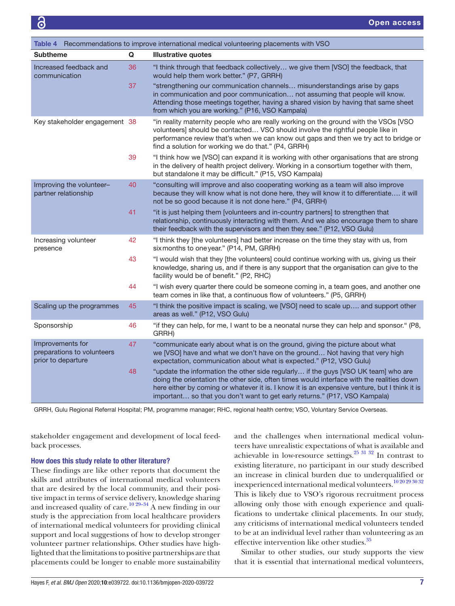<span id="page-6-0"></span>

| Recommendations to improve international medical volunteering placements with VSO<br>Table 4 |    |                                                                                                                                                                                                                                                                                                                                                                |  |  |  |  |
|----------------------------------------------------------------------------------------------|----|----------------------------------------------------------------------------------------------------------------------------------------------------------------------------------------------------------------------------------------------------------------------------------------------------------------------------------------------------------------|--|--|--|--|
| <b>Subtheme</b>                                                                              | Q  | <b>Illustrative quotes</b>                                                                                                                                                                                                                                                                                                                                     |  |  |  |  |
| Increased feedback and<br>communication                                                      | 36 | "I think through that feedback collectively we give them [VSO] the feedback, that<br>would help them work better." (P7, GRRH)                                                                                                                                                                                                                                  |  |  |  |  |
|                                                                                              | 37 | "strengthening our communication channels misunderstandings arise by gaps<br>in communication and poor communication not assuming that people will know.<br>Attending those meetings together, having a shared vision by having that same sheet<br>from which you are working." (P16, VSO Kampala)                                                             |  |  |  |  |
| Key stakeholder engagement 38                                                                |    | "in reality maternity people who are really working on the ground with the VSOs [VSO<br>volunteers] should be contacted VSO should involve the rightful people like in<br>performance review that's when we can know out gaps and then we try act to bridge or<br>find a solution for working we do that." (P4, GRRH)                                          |  |  |  |  |
|                                                                                              | 39 | "I think how we [VSO] can expand it is working with other organisations that are strong<br>in the delivery of health project delivery. Working in a consortium together with them,<br>but standalone it may be difficult." (P15, VSO Kampala)                                                                                                                  |  |  |  |  |
| Improving the volunteer-<br>partner relationship                                             | 40 | "consulting will improve and also cooperating working as a team will also improve<br>because they will know what is not done here, they will know it to differentiate it will<br>not be so good because it is not done here." (P4, GRRH)                                                                                                                       |  |  |  |  |
|                                                                                              | 41 | "it is just helping them [volunteers and in-country partners] to strengthen that<br>relationship, continuously interacting with them. And we also encourage them to share<br>their feedback with the supervisors and then they see." (P12, VSO Gulu)                                                                                                           |  |  |  |  |
| Increasing volunteer<br>presence                                                             | 42 | "I think they [the volunteers] had better increase on the time they stay with us, from<br>six months to one year." (P14, PM, GRRH)                                                                                                                                                                                                                             |  |  |  |  |
|                                                                                              | 43 | "I would wish that they [the volunteers] could continue working with us, giving us their<br>knowledge, sharing us, and if there is any support that the organisation can give to the<br>facility would be of benefit." (P2, RHC)                                                                                                                               |  |  |  |  |
|                                                                                              | 44 | "I wish every quarter there could be someone coming in, a team goes, and another one<br>team comes in like that, a continuous flow of volunteers." (P5, GRRH)                                                                                                                                                                                                  |  |  |  |  |
| Scaling up the programmes                                                                    | 45 | "I think the positive impact is scaling, we [VSO] need to scale up and support other<br>areas as well." (P12, VSO Gulu)                                                                                                                                                                                                                                        |  |  |  |  |
| Sponsorship                                                                                  | 46 | "if they can help, for me, I want to be a neonatal nurse they can help and sponsor." (P8,<br>GRRH)                                                                                                                                                                                                                                                             |  |  |  |  |
| Improvements for<br>preparations to volunteers<br>prior to departure                         | 47 | "communicate early about what is on the ground, giving the picture about what<br>we [VSO] have and what we don't have on the ground Not having that very high<br>expectation, communication about what is expected." (P12, VSO Gulu)                                                                                                                           |  |  |  |  |
|                                                                                              | 48 | "update the information the other side regularly if the guys [VSO UK team] who are<br>doing the orientation the other side, often times would interface with the realities down<br>here either by coming or whatever it is. I know it is an expensive venture, but I think it is<br>important so that you don't want to get early returns." (P17, VSO Kampala) |  |  |  |  |

GRRH, Gulu Regional Referral Hospital; PM, programme manager; RHC, regional health centre; VSO, Voluntary Service Overseas.

stakeholder engagement and development of local feedback processes.

## How does this study relate to other literature?

These findings are like other reports that document the skills and attributes of international medical volunteers that are desired by the local community, and their positive impact in terms of service delivery, knowledge sharing and increased quality of care.<sup>10 29–34</sup> A new finding in our study is the appreciation from local healthcare providers of international medical volunteers for providing clinical support and local suggestions of how to develop stronger volunteer partner relationships. Other studies have highlighted that the limitations to positive partnerships are that placements could be longer to enable more sustainability

and the challenges when international medical volunteers have unrealistic expectations of what is available and achievable in low-resource settings.<sup>25 31 32</sup> In contrast to existing literature, no participant in our study described an increase in clinical burden due to underqualified or inexperienced international medical volunteers.[10 20 29 30 32](#page-7-2) This is likely due to VSO's rigorous recruitment process allowing only those with enough experience and qualifications to undertake clinical placements. In our study, any criticisms of international medical volunteers tended to be at an individual level rather than volunteering as an effective intervention like other studies.<sup>[35](#page-8-5)</sup>

Similar to other studies, our study supports the view that it is essential that international medical volunteers,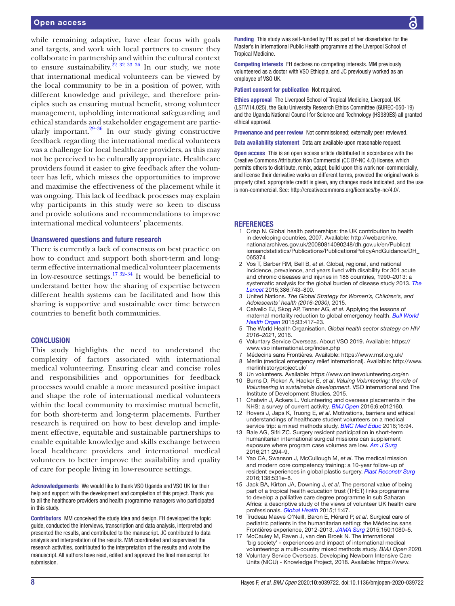while remaining adaptive, have clear focus with goals and targets, and work with local partners to ensure they collaborate in partnership and within the cultural context to ensure sustainability.<sup>22 32 33</sup> 36 In our study, we note that international medical volunteers can be viewed by the local community to be in a position of power, with different knowledge and privilege, and therefore principles such as ensuring mutual benefit, strong volunteer management, upholding international safeguarding and ethical standards and stakeholder engagement are particularly important. $29-36$  In our study giving constructive feedback regarding the international medical volunteers was a challenge for local healthcare providers, as this may not be perceived to be culturally appropriate. Healthcare providers found it easier to give feedback after the volunteer has left, which misses the opportunities to improve and maximise the effectiveness of the placement while it was ongoing. This lack of feedback processes may explain why participants in this study were so keen to discuss and provide solutions and recommendations to improve international medical volunteers' placements.

#### Unanswered questions and future research

There is currently a lack of consensus on best practice on how to conduct and support both short-term and longterm effective international medical volunteer placements in low-resource settings.<sup>17 32–34</sup> It would be beneficial to understand better how the sharing of expertise between different health systems can be facilitated and how this sharing is supportive and sustainable over time between countries to benefit both communities.

#### **CONCLUSION**

This study highlights the need to understand the complexity of factors associated with international medical volunteering. Ensuring clear and concise roles and responsibilities and opportunities for feedback processes would enable a more measured positive impact and shape the role of international medical volunteers within the local community to maximise mutual benefit, for both short-term and long-term placements. Further research is required on how to best develop and implement effective, equitable and sustainable partnerships to enable equitable knowledge and skills exchange between local healthcare providers and international medical volunteers to better improve the availability and quality of care for people living in low-resource settings.

Acknowledgements We would like to thank VSO Uganda and VSO UK for their help and support with the development and completion of this project. Thank you to all the healthcare providers and health programme managers who participated in this study.

Contributors MM conceived the study idea and design. FH developed the topic guide, conducted the interviews, transcription and data analysis, interpreted and presented the results, and contributed to the manuscript. JC contributed to data analysis and interpretation of the results. MM coordinated and supervised the research activities, contributed to the interpretation of the results and wrote the manuscript. All authors have read, edited and approved the final manuscript for submission.

Funding This study was self-funded by FH as part of her dissertation for the Master's in International Public Health programme at the Liverpool School of Tropical Medicine.

Competing interests FH declares no competing interests. MM previously volunteered as a doctor with VSO Ethiopia, and JC previously worked as an employee of VSO UK.

Patient consent for publication Not required.

Ethics approval The Liverpool School of Tropical Medicine, Liverpool, UK (LSTM14.025), the Gulu University Research Ethics Committee (GUREC-050-19) and the Uganda National Council for Science and Technology (HS389ES) all granted ethical approval.

Provenance and peer review Not commissioned; externally peer reviewed.

Data availability statement Data are available upon reasonable request.

Open access This is an open access article distributed in accordance with the Creative Commons Attribution Non Commercial (CC BY-NC 4.0) license, which permits others to distribute, remix, adapt, build upon this work non-commercially, and license their derivative works on different terms, provided the original work is properly cited, appropriate credit is given, any changes made indicated, and the use is non-commercial. See: [http://creativecommons.org/licenses/by-nc/4.0/.](http://creativecommons.org/licenses/by-nc/4.0/)

#### REFERENCES

- <span id="page-7-0"></span>Crisp N. Global health partnerships: the UK contribution to health in developing countries, 2007. Available: [http://webarchive.](http://webarchive.nationalarchives.gov.uk/20080814090248/dh.gov.uk/en/Publicationsandstatistics/Publications/PublicationsPolicyAndGuidance/DH_065374) [nationalarchives.gov.uk/20080814090248/dh.gov.uk/en/Publicat](http://webarchive.nationalarchives.gov.uk/20080814090248/dh.gov.uk/en/Publicationsandstatistics/Publications/PublicationsPolicyAndGuidance/DH_065374) [ionsandstatistics/Publications/PublicationsPolicyAndGuidance/DH\\_](http://webarchive.nationalarchives.gov.uk/20080814090248/dh.gov.uk/en/Publicationsandstatistics/Publications/PublicationsPolicyAndGuidance/DH_065374) [065374](http://webarchive.nationalarchives.gov.uk/20080814090248/dh.gov.uk/en/Publicationsandstatistics/Publications/PublicationsPolicyAndGuidance/DH_065374)
- 2 Vos T, Barber RM, Bell B, *et al*. Global, regional, and national incidence, prevalence, and years lived with disability for 301 acute and chronic diseases and injuries in 188 countries, 1990–2013: a systematic analysis for the global burden of disease study 2013. *[The](http://dx.doi.org/10.1016/S0140-6736(15)60692-4)  [Lancet](http://dx.doi.org/10.1016/S0140-6736(15)60692-4)* 2015;386:743–800.
- 3 United Nations. *The Global Strategy for Women's, Children's, and Adolescents' health (2016-2030)*, 2015.
- <span id="page-7-1"></span>4 Calvello EJ, Skog AP, Tenner AG, *et al*. Applying the lessons of maternal mortality reduction to global emergency health. *[Bull World](http://dx.doi.org/10.2471/BLT.14.146571)  [Health Organ](http://dx.doi.org/10.2471/BLT.14.146571)* 2015;93:417–23.
- 5 The World Health Organisation. *Global health sector strategy on HIV 2016–2021*, 2016.
- <span id="page-7-3"></span>6 Voluntary Service Overseas. About VSO 2019. Available: [https://](https://www.vso%20international.org/index.php) [www.vso international.org/index.php](https://www.vso%20international.org/index.php)
- 7 Médecins sans Frontières. Available: <https://www.msf.org.uk/>
- 8 Merlin (medical emergency relief international). Available: [http://www.](http://www.merlinhistoryproject.uk/) [merlinhistoryproject.uk/](http://www.merlinhistoryproject.uk/)
- 9 Un volunteers. Available: <https://www.onlinevolunteering.org/en>
- <span id="page-7-2"></span>10 Burns D, Picken A, Hacker E, *et al*. *Valuing Volunteering: the role of Volunteering in sustainable development*. VSO international and The Institute of Development Studies, 2015.
- 11 Chatwin J, Ackers L. Volunteering and overseas placements in the NHS: a survey of current activity. *[BMJ Open](http://dx.doi.org/10.1136/bmjopen-2016-012160)* 2016;6:e012160.
- 12 Rovers J, Japs K, Truong E, *et al*. Motivations, barriers and ethical understandings of healthcare student volunteers on a medical service trip: a mixed methods study. *[BMC Med Educ](http://dx.doi.org/10.1186/s12909-016-0618-0)* 2016;16:94.
- 13 Bale AG, Sifri ZC. Surgery resident participation in short-term humanitarian international surgical missions can supplement exposure where program case volumes are low. *[Am J Surg](http://dx.doi.org/10.1016/j.amjsurg.2015.05.017)* 2016;211:294–9.
- 14 Yao CA, Swanson J, McCullough M, *et al*. The medical mission and modern core competency training: a 10-year follow-up of resident experiences in global plastic surgery. *[Plast Reconstr Surg](http://dx.doi.org/10.1097/PRS.0000000000002484)* 2016;138:531e–8.
- 15 Jack BA, Kirton JA, Downing J, *et al*. The personal value of being part of a tropical health education trust (THET) links programme to develop a palliative care degree programme in sub Saharan Africa: a descriptive study of the views of volunteer UK health care professionals. *[Global Health](http://dx.doi.org/10.1186/s12992-015-0136-6)* 2015;11:47.
- 16 Trudeau Maeve O'Neill, Baron E, Hérard P, *et al*. Surgical care of pediatric patients in the humanitarian setting: the Médecins sans Frontières experience, 2012-2013. *[JAMA Surg](http://dx.doi.org/10.1001/jamasurg.2015.1928)* 2015;150:1080–5.
- <span id="page-7-4"></span>17 McCauley M, Raven J, van den Broek N. The international 'big society' - experiences and impact of international medical volunteering: a multi-country mixed methods study. *BMJ Open* 2020.
- 18 Voluntary Service Overseas. Developing Newborn Intensive Care Units (NICU) - Knowledge Project, 2018. Available: [https://www.](https://www.vsointernational.org/sites/default/files/VSO-knowledge-product-nicu.pdf)